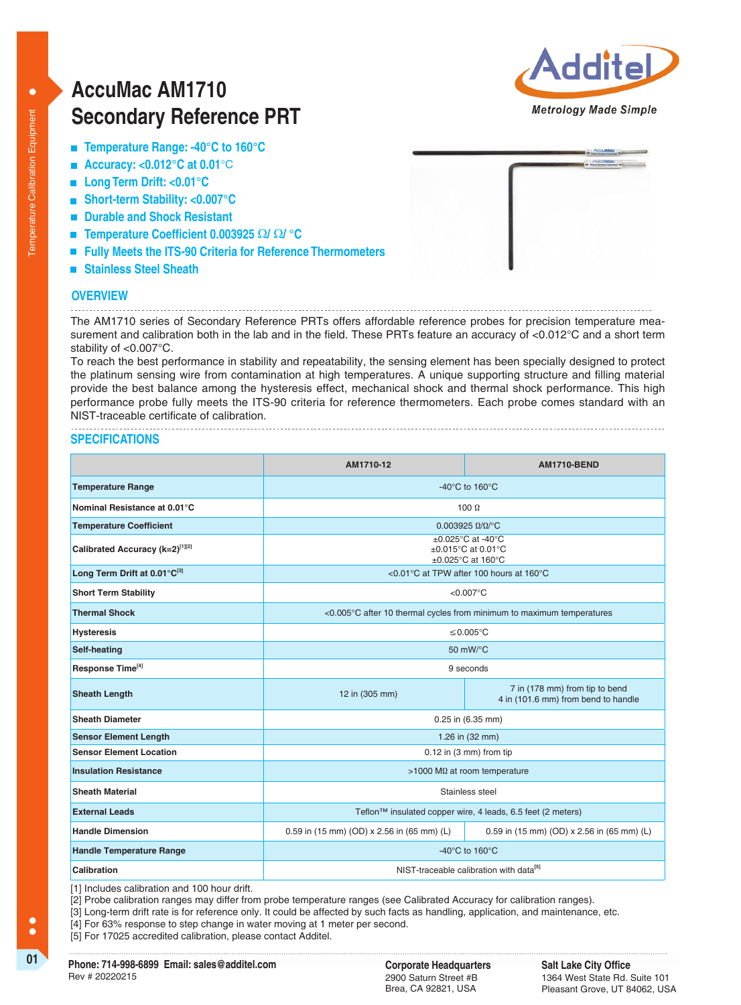$\bullet$ 

# **AccuMac AM1710 Secondary Reference PRT**



- **Temperature Range: -40°C to 160°C**
- **Accuracy: <0.012°C at 0.01**°C
- **Long Term Drift: <0.01°C**
- **Short-term Stability: <0.007°C**
- **Durable and Shock Resistant**
- **Temperature Coefficient 0.003925Ω**Ω**/** Ω**/ °C**
- **Fully Meets the ITS-90 Criteria for Reference Thermometers**
- **Stainless Steel Sheath**

#### **OVERVIEW**

The AM1710 series of Secondary Reference PRTs offers affordable reference probes for precision temperature measurement and calibration both in the lab and in the field. These PRTs feature an accuracy of <0.012°C and a short term stability of <0.007°C.

To reach the best performance in stability and repeatability, the sensing element has been specially designed to protect the platinum sensing wire from contamination at high temperatures. A unique supporting structure and filling material provide the best balance among the hysteresis effect, mechanical shock and thermal shock performance. This high performance probe fully meets the ITS-90 criteria for reference thermometers. Each probe comes standard with an NIST-traceable certificate of calibration.

## **SPECIFICATIONS**

|                                 | AM1710-12                                                                                     | <b>AM1710-BEND</b>                                                    |  |
|---------------------------------|-----------------------------------------------------------------------------------------------|-----------------------------------------------------------------------|--|
| <b>Temperature Range</b>        | -40°C to 160°C                                                                                |                                                                       |  |
| Nominal Resistance at 0.01°C    | $100 \Omega$                                                                                  |                                                                       |  |
| <b>Temperature Coefficient</b>  | $0.003925 \Omega/\Omega$ <sup>o</sup> C                                                       |                                                                       |  |
| Calibrated Accuracy (k=2)[1][2] | $\pm 0.025$ °C at -40°C<br>$±0.015^{\circ}$ C at 0.01 $^{\circ}$ C<br>$\pm 0.025$ °C at 160°C |                                                                       |  |
| Long Term Drift at 0.01°C[3]    | <0.01°C at TPW after 100 hours at 160°C                                                       |                                                                       |  |
| <b>Short Term Stability</b>     | $< 0.007$ °C                                                                                  |                                                                       |  |
| <b>Thermal Shock</b>            | <0.005°C after 10 thermal cycles from minimum to maximum temperatures                         |                                                                       |  |
| <b>Hysteresis</b>               | ≤0.005°C                                                                                      |                                                                       |  |
| Self-heating                    | 50 mW/°C                                                                                      |                                                                       |  |
| Response Time <sup>[4]</sup>    | 9 seconds                                                                                     |                                                                       |  |
| <b>Sheath Length</b>            | 12 in (305 mm)                                                                                | 7 in (178 mm) from tip to bend<br>4 in (101.6 mm) from bend to handle |  |
| <b>Sheath Diameter</b>          | 0.25 in (6.35 mm)                                                                             |                                                                       |  |
| <b>Sensor Element Length</b>    | 1.26 in (32 mm)                                                                               |                                                                       |  |
| <b>Sensor Element Location</b>  | $0.12$ in $(3 \text{ mm})$ from tip                                                           |                                                                       |  |
| <b>Insulation Resistance</b>    | >1000 M $\Omega$ at room temperature                                                          |                                                                       |  |
| <b>Sheath Material</b>          | Stainless steel                                                                               |                                                                       |  |
| <b>External Leads</b>           | Teflon™ insulated copper wire, 4 leads, 6.5 feet (2 meters)                                   |                                                                       |  |
| <b>Handle Dimension</b>         | 0.59 in (15 mm) (OD) x 2.56 in (65 mm) (L)                                                    | 0.59 in (15 mm) (OD) x 2.56 in (65 mm) (L)                            |  |
| <b>Handle Temperature Range</b> | -40°C to 160°C                                                                                |                                                                       |  |
| Calibration                     | NIST-traceable calibration with data <sup>[5]</sup>                                           |                                                                       |  |

[1] Includes calibration and 100 hour drift.

[2] Probe calibration ranges may differ from probe temperature ranges (see Calibrated Accuracy for calibration ranges).

[3] Long-term drift rate is for reference only. It could be affected by such facts as handling, application, and maintenance, etc.

[4] For 63% response to step change in water moving at 1 meter per second.

[5] For 17025 accredited calibration, please contact Additel.

**01 Corporate Headquarters Phone: 714-998-6899 Email: sales@additel.com** Rev # 20220215

2900 Saturn Street #B Brea, CA 92821, USA